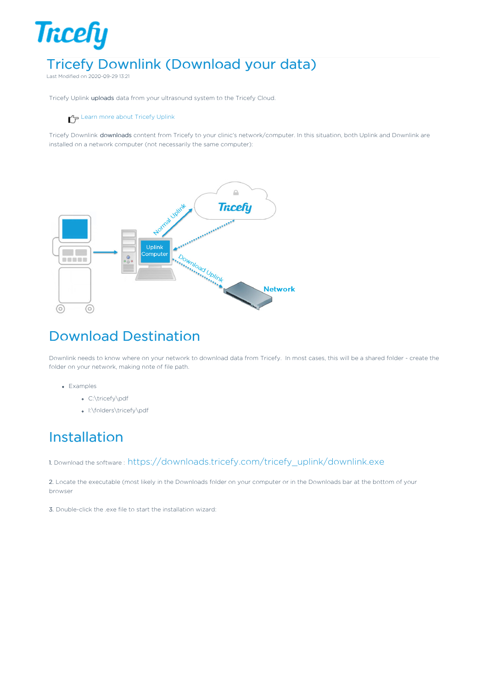# **Tricefy** Tricefy Downlink (Download your data)

Last Modified on 2020-09-29 13:21

Tricefy Uplink uploads data from your ultrasound system to the Tricefy Cloud.

### Learn more about Tricefy Uplink

Tricefy Downlink downloads content from Tricefy to your clinic's network/computer. In this situation, both Uplink and Downlink are installed on a network computer (not necessarily the same computer):



# Download Destination

Downlink needs to know where on your network to download data from Tricefy. In most cases, this will be a shared folder - create the folder on your network, making note of file path.

- Examples
	- C:\tricefy\pdf
	- I:\folders\tricefy\pdf

## Installation

1. Download the software : https://downloads.tricefy.com/tricefy\_uplink/downlink.exe

2. Locate the executable (most likely in the Downloads folder on your computer or in the Downloads bar at the bottom of your browser

3. Double-click the .exe file to start the installation wizard: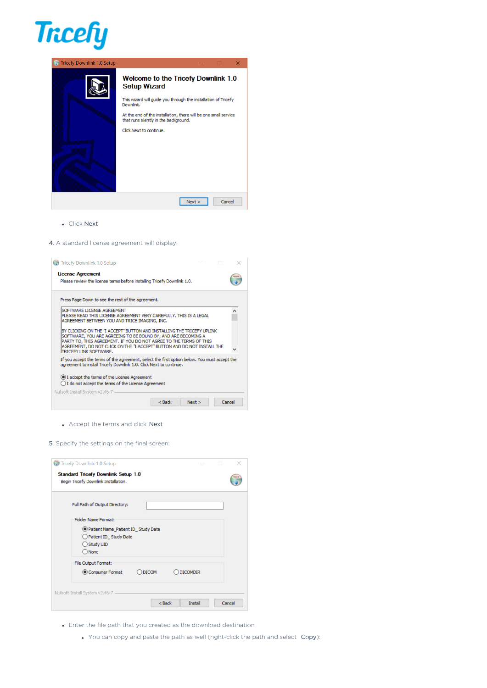

| <b>Tricefy Downlink 1.0 Setup</b> |                                                                                                                                                                                                                                                                                  |
|-----------------------------------|----------------------------------------------------------------------------------------------------------------------------------------------------------------------------------------------------------------------------------------------------------------------------------|
|                                   | Welcome to the Tricefy Downlink 1.0<br><b>Setup Wizard</b><br>This wizard will guide you through the installation of Tricefy<br>Downlink.<br>At the end of the installation, there will be one small service<br>that runs silently in the background.<br>Click Next to continue. |
|                                   | Cancel<br>Next                                                                                                                                                                                                                                                                   |
|                                   |                                                                                                                                                                                                                                                                                  |

Click Next

#### 4. A standard license agreement will display:



| Full Path of Output Directory:       |
|--------------------------------------|
|                                      |
| <b>Folder Name Format:</b>           |
| Reflect Name_Patient ID_Study Date   |
| Patient ID_Study Date                |
| Study UID                            |
| $\bigcirc$ None                      |
| File Output Format:                  |
| Consumer Format<br>DICOMDIR<br>DICOM |

- Enter the file path that you created as the download destination
	- You can copy and paste the path as well (right-click the path and select Copy):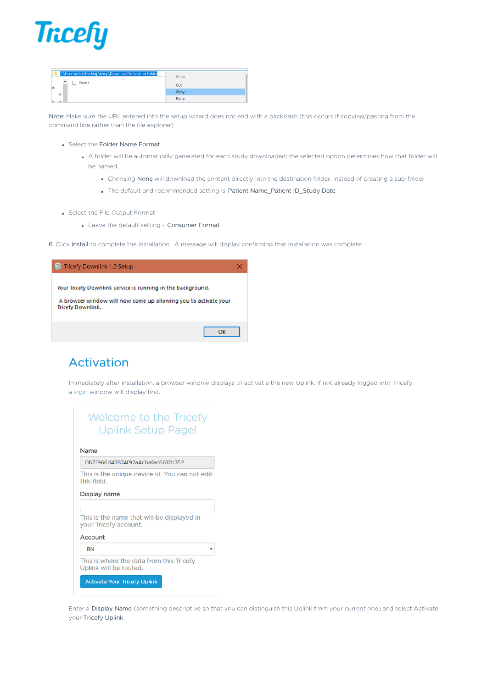

| C:\Users\qtbre\Desktop\temp\Download Destination Folder |              | Undo  |  |
|---------------------------------------------------------|--------------|-------|--|
| ́<br><b>Name</b>                                        | $\checkmark$ |       |  |
|                                                         |              | Cut   |  |
| $\mathcal{R}$                                           |              | Copy  |  |
| ÷                                                       |              | Paste |  |

Note: Make sure the URL entered into the setup wizard does not end with a backslash (this occurs if copying/pasting from the command line rather than the file explorer)

- Select the Folder Name Format
	- A folder will be automatically generated for each study downloaded; the selected option determines how that folder will be named
		- Choosing None will download the content directly into the destination folder, instead of creating a sub-folder
		- The default and recommended setting is Patient Name\_Patient ID\_Study Date
- Select the File Output Format
	- Leave the default setting Consumer Format
- 6. Click Install to complete the installation. A message will display confirming that installation was complete:

| Tricefy Downlink 1.0 Setup                                                                                                                                 |  |
|------------------------------------------------------------------------------------------------------------------------------------------------------------|--|
| Your Tricefy Downlink service is running in the background.<br>A browser window will now come up allowing you to activate your<br><b>Tricefy Downlink.</b> |  |
|                                                                                                                                                            |  |

### Activation

Immediately after installation, a browser window displays to activat e the new Uplink. If not already logged into Tricefy, a login window will display first.

| Welcome to the Tricefy    |
|---------------------------|
| <b>Uplink Setup Page!</b> |

### Name

#### 0b7f966d47874f92a4cbafac6612b352

This is the unique device id. You can not edit this field.

### Display name

This is the name that will be displayed in your Tricefy account.

### Account

| <b>RN</b>                                                          |  |
|--------------------------------------------------------------------|--|
| This is where the data from this Tricefy<br>Uplink will be routed. |  |
| <b>Activate Your Tricefy Uplink</b>                                |  |

Enter a Display Name (something descriptive so that you can distinguish this Uplink from your current one) and select Activate your Tricefy Uplink.